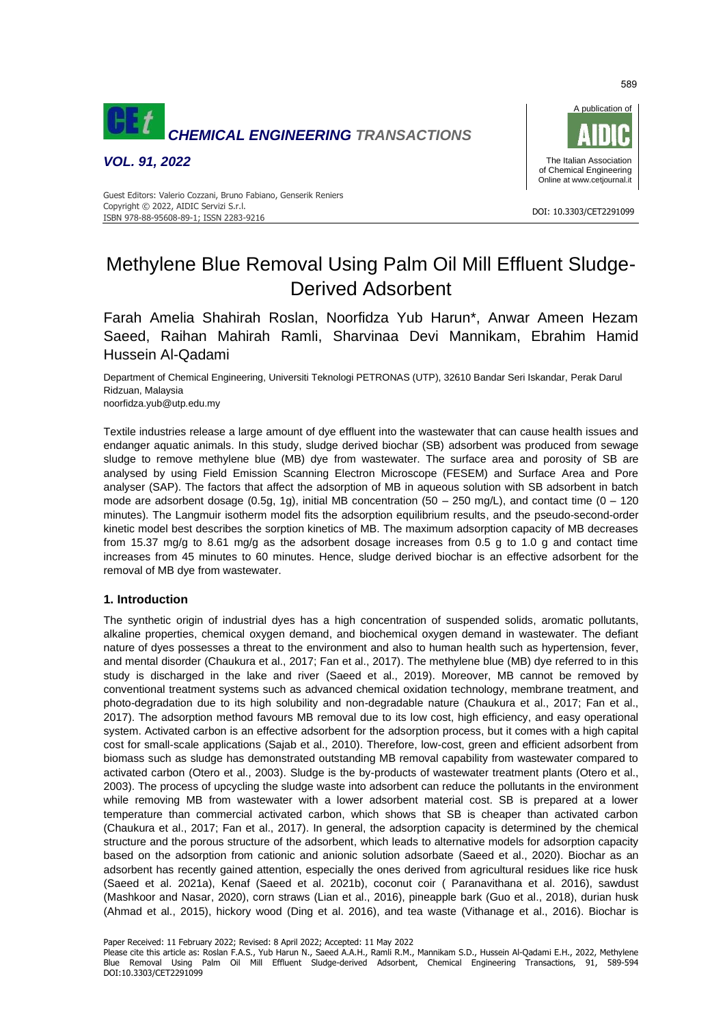

*VOL. 91, 2022*



#### DOI: 10.3303/CET2291099 ISBN 978-88-95608-89-1; ISSN 2283-9216 Guest Editors: Valerio Cozzani, Bruno Fabiano, Genserik Reniers Copyright © 2022, AIDIC Servizi S.r.l.

# Methylene Blue Removal Using Palm Oil Mill Effluent Sludge-Derived Adsorbent

Farah Amelia Shahirah Roslan, Noorfidza Yub Harun\*, Anwar Ameen Hezam Saeed, Raihan Mahirah Ramli, Sharvinaa Devi Mannikam, Ebrahim Hamid Hussein Al-Qadami

Department of Chemical Engineering, Universiti Teknologi PETRONAS (UTP), 32610 Bandar Seri Iskandar, Perak Darul Ridzuan, Malaysia noorfidza.yub@utp.edu.my

Textile industries release a large amount of dye effluent into the wastewater that can cause health issues and endanger aquatic animals. In this study, sludge derived biochar (SB) adsorbent was produced from sewage sludge to remove methylene blue (MB) dye from wastewater. The surface area and porosity of SB are analysed by using Field Emission Scanning Electron Microscope (FESEM) and Surface Area and Pore analyser (SAP). The factors that affect the adsorption of MB in aqueous solution with SB adsorbent in batch mode are adsorbent dosage (0.5g, 1g), initial MB concentration (50 – 250 mg/L), and contact time (0 – 120 minutes). The Langmuir isotherm model fits the adsorption equilibrium results, and the pseudo-second-order kinetic model best describes the sorption kinetics of MB. The maximum adsorption capacity of MB decreases from 15.37 mg/g to 8.61 mg/g as the adsorbent dosage increases from 0.5 g to 1.0 g and contact time increases from 45 minutes to 60 minutes. Hence, sludge derived biochar is an effective adsorbent for the removal of MB dye from wastewater.

# **1. Introduction**

The synthetic origin of industrial dyes has a high concentration of suspended solids, aromatic pollutants, alkaline properties, chemical oxygen demand, and biochemical oxygen demand in wastewater. The defiant nature of dyes possesses a threat to the environment and also to human health such as hypertension, fever, and mental disorder (Chaukura et al., 2017; Fan et al., 2017). The methylene blue (MB) dye referred to in this study is discharged in the lake and river (Saeed et al., 2019). Moreover, MB cannot be removed by conventional treatment systems such as advanced chemical oxidation technology, membrane treatment, and photo-degradation due to its high solubility and non-degradable nature (Chaukura et al., 2017; Fan et al., 2017). The adsorption method favours MB removal due to its low cost, high efficiency, and easy operational system. Activated carbon is an effective adsorbent for the adsorption process, but it comes with a high capital cost for small-scale applications (Sajab et al., 2010). Therefore, low-cost, green and efficient adsorbent from biomass such as sludge has demonstrated outstanding MB removal capability from wastewater compared to activated carbon (Otero et al., 2003). Sludge is the by-products of wastewater treatment plants (Otero et al., 2003). The process of upcycling the sludge waste into adsorbent can reduce the pollutants in the environment while removing MB from wastewater with a lower adsorbent material cost. SB is prepared at a lower temperature than commercial activated carbon, which shows that SB is cheaper than activated carbon (Chaukura et al., 2017; Fan et al., 2017). In general, the adsorption capacity is determined by the chemical structure and the porous structure of the adsorbent, which leads to alternative models for adsorption capacity based on the adsorption from cationic and anionic solution adsorbate (Saeed et al., 2020). Biochar as an adsorbent has recently gained attention, especially the ones derived from agricultural residues like rice husk (Saeed et al. 2021a), Kenaf (Saeed et al. 2021b), coconut coir ( Paranavithana et al. 2016), sawdust (Mashkoor and Nasar, 2020), corn straws (Lian et al., 2016), pineapple bark (Guo et al., 2018), durian husk (Ahmad et al., 2015), hickory wood (Ding et al. 2016), and tea waste (Vithanage et al., 2016). Biochar is

Paper Received: 11 February 2022; Revised: 8 April 2022; Accepted: 11 May 2022

Please cite this article as: Roslan F.A.S., Yub Harun N., Saeed A.A.H., Ramli R.M., Mannikam S.D., Hussein Al-Qadami E.H., 2022, Methylene Blue Removal Using Palm Oil Mill Effluent Sludge-derived Adsorbent, Chemical Engineering Transactions, 91, 589-594 DOI:10.3303/CET2291099

589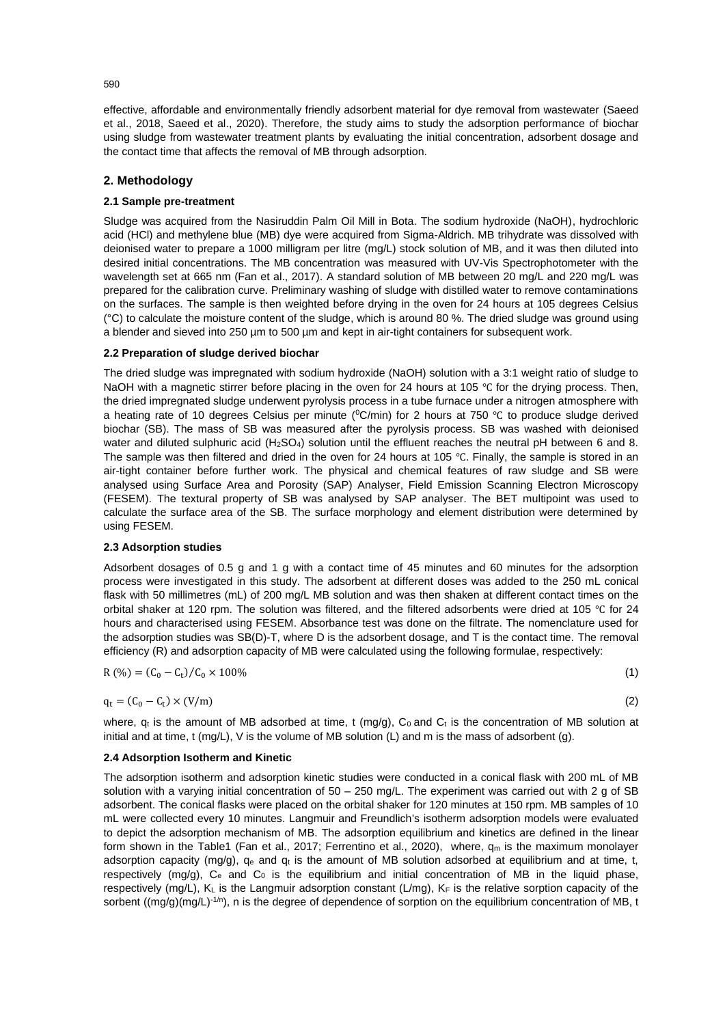effective, affordable and environmentally friendly adsorbent material for dye removal from wastewater (Saeed et al., 2018, Saeed et al., 2020). Therefore, the study aims to study the adsorption performance of biochar using sludge from wastewater treatment plants by evaluating the initial concentration, adsorbent dosage and the contact time that affects the removal of MB through adsorption.

# **2. Methodology**

# **2.1 Sample pre-treatment**

Sludge was acquired from the Nasiruddin Palm Oil Mill in Bota. The sodium hydroxide (NaOH), hydrochloric acid (HCl) and methylene blue (MB) dye were acquired from Sigma-Aldrich. MB trihydrate was dissolved with deionised water to prepare a 1000 milligram per litre (mg/L) stock solution of MB, and it was then diluted into desired initial concentrations. The MB concentration was measured with UV-Vis Spectrophotometer with the wavelength set at 665 nm (Fan et al., 2017). A standard solution of MB between 20 mg/L and 220 mg/L was prepared for the calibration curve. Preliminary washing of sludge with distilled water to remove contaminations on the surfaces. The sample is then weighted before drying in the oven for 24 hours at 105 degrees Celsius  $°C$ ) to calculate the moisture content of the sludge, which is around 80 %. The dried sludge was ground using a blender and sieved into 250 µm to 500 µm and kept in air-tight containers for subsequent work.

# **2.2 Preparation of sludge derived biochar**

The dried sludge was impregnated with sodium hydroxide (NaOH) solution with a 3:1 weight ratio of sludge to NaOH with a magnetic stirrer before placing in the oven for 24 hours at 105 ℃ for the drying process. Then, the dried impregnated sludge underwent pyrolysis process in a tube furnace under a nitrogen atmosphere with a heating rate of 10 degrees Celsius per minute (<sup>0</sup>C/min) for 2 hours at 750 °C to produce sludge derived biochar (SB). The mass of SB was measured after the pyrolysis process. SB was washed with deionised water and diluted sulphuric acid (H<sub>2</sub>SO<sub>4</sub>) solution until the effluent reaches the neutral pH between 6 and 8. The sample was then filtered and dried in the oven for 24 hours at 105 ℃. Finally, the sample is stored in an air-tight container before further work. The physical and chemical features of raw sludge and SB were analysed using Surface Area and Porosity (SAP) Analyser, Field Emission Scanning Electron Microscopy (FESEM). The textural property of SB was analysed by SAP analyser. The BET multipoint was used to calculate the surface area of the SB. The surface morphology and element distribution were determined by using FESEM.

## **2.3 Adsorption studies**

Adsorbent dosages of 0.5 g and 1 g with a contact time of 45 minutes and 60 minutes for the adsorption process were investigated in this study. The adsorbent at different doses was added to the 250 mL conical flask with 50 millimetres (mL) of 200 mg/L MB solution and was then shaken at different contact times on the orbital shaker at 120 rpm. The solution was filtered, and the filtered adsorbents were dried at 105 ℃ for 24 hours and characterised using FESEM. Absorbance test was done on the filtrate. The nomenclature used for the adsorption studies was SB(D)-T, where D is the adsorbent dosage, and T is the contact time. The removal efficiency (R) and adsorption capacity of MB were calculated using the following formulae, respectively:

$$
R(\%) = (C_0 - C_t)/C_0 \times 100\% \tag{1}
$$

$$
q_t = (C_0 - C_t) \times (V/m) \tag{2}
$$

<span id="page-1-1"></span><span id="page-1-0"></span>

where,  $q_t$  is the amount of MB adsorbed at time, t (mg/g),  $C_0$  and  $C_t$  is the concentration of MB solution at initial and at time, t (mg/L), V is the volume of MB solution (L) and m is the mass of adsorbent (g).

## **2.4 Adsorption Isotherm and Kinetic**

The adsorption isotherm and adsorption kinetic studies were conducted in a conical flask with 200 mL of MB solution with a varying initial concentration of  $50 - 250$  mg/L. The experiment was carried out with 2 g of SB adsorbent. The conical flasks were placed on the orbital shaker for 120 minutes at 150 rpm. MB samples of 10 mL were collected every 10 minutes. Langmuir and Freundlich's isotherm adsorption models were evaluated to depict the adsorption mechanism of MB. The adsorption equilibrium and kinetics are defined in the linear form shown in the Table1 (Fan et al., 2017; Ferrentino et al., 2020), where,  $q_m$  is the maximum monolayer adsorption capacity (mg/g),  $q_e$  and  $q_t$  is the amount of MB solution adsorbed at equilibrium and at time, t, respectively ( $mq/q$ ),  $C_e$  and  $C_0$  is the equilibrium and initial concentration of MB in the liquid phase, respectively (mg/L),  $K_L$  is the Langmuir adsorption constant (L/mg),  $K_F$  is the relative sorption capacity of the sorbent ((mg/g)(mg/L)-1/n), n is the degree of dependence of sorption on the equilibrium concentration of MB, t

590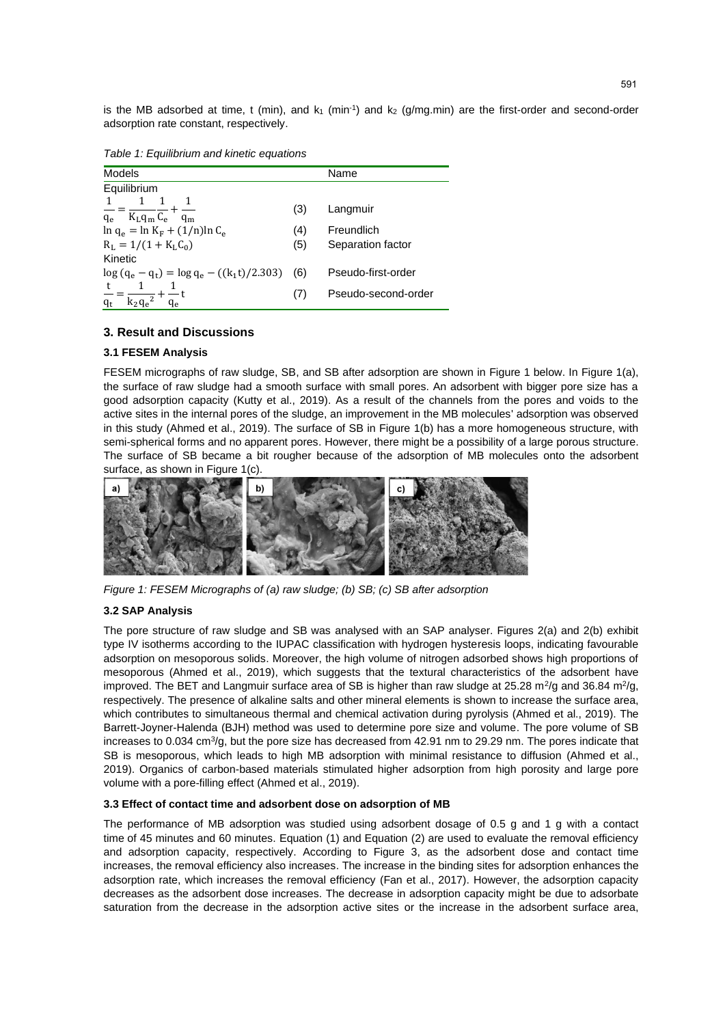is the MB adsorbed at time, t (min), and  $k_1$  (min<sup>-1</sup>) and  $k_2$  (g/mg.min) are the first-order and second-order adsorption rate constant, respectively.

<span id="page-2-1"></span>

<span id="page-2-2"></span>

| Models                                                     |     | Name                |
|------------------------------------------------------------|-----|---------------------|
| Equilibrium                                                |     |                     |
| $\frac{1}{q_e} = \frac{1}{K_L q_m} \frac{1}{C_e}$<br>$q_m$ | (3) | Langmuir            |
| $\ln q_e = \ln K_F + (1/n) \ln C_e$                        | (4) | Freundlich          |
| $R_L = 1/(1 + K_L C_0)$                                    | (5) | Separation factor   |
| Kinetic                                                    |     |                     |
| $\log (q_e - q_t) = \log q_e - ((k_1 t)/2.303)$            | (6) | Pseudo-first-order  |
|                                                            | (7) | Pseudo-second-order |

# **3. Result and Discussions**

# **3.1 FESEM Analysis**

FESEM micrographs of raw sludge, SB, and SB after adsorption are shown in [Figure 1](#page-2-0) below. In [Figure 1\(](#page-2-0)a), the surface of raw sludge had a smooth surface with small pores. An adsorbent with bigger pore size has a good adsorption capacity (Kutty et al., 2019). As a result of the channels from the pores and voids to the active sites in the internal pores of the sludge, an improvement in the MB molecules' adsorption was observed in this study (Ahmed et al., 2019). The surface of SB in [Figure 1\(](#page-2-0)b) has a more homogeneous structure, with semi-spherical forms and no apparent pores. However, there might be a possibility of a large porous structure. The surface of SB became a bit rougher because of the adsorption of MB molecules onto the adsorbent surface, as shown i[n Figure 1\(](#page-2-0)c).



*Figure 1: FESEM Micrographs of (a) raw sludge; (b) SB; (c) SB after adsorption*

## <span id="page-2-0"></span>**3.2 SAP Analysis**

The pore structure of raw sludge and SB was analysed with an SAP analyser. Figures 2(a) and 2(b) exhibit type IV isotherms according to the IUPAC classification with hydrogen hysteresis loops, indicating favourable adsorption on mesoporous solids. Moreover, the high volume of nitrogen adsorbed shows high proportions of mesoporous (Ahmed et al., 2019), which suggests that the textural characteristics of the adsorbent have improved. The BET and Langmuir surface area of SB is higher than raw sludge at 25.28 m<sup>2</sup>/g and 36.84 m<sup>2</sup>/g, respectively. The presence of alkaline salts and other mineral elements is shown to increase the surface area, which contributes to simultaneous thermal and chemical activation during pyrolysis (Ahmed et al., 2019). The Barrett-Joyner-Halenda (BJH) method was used to determine pore size and volume. The pore volume of SB increases to 0.034 cm<sup>3</sup>/g, but the pore size has decreased from 42.91 nm to 29.29 nm. The pores indicate that SB is mesoporous, which leads to high MB adsorption with minimal resistance to diffusion (Ahmed et al., 2019). Organics of carbon-based materials stimulated higher adsorption from high porosity and large pore volume with a pore-filling effect (Ahmed et al., 2019).

# **3.3 Effect of contact time and adsorbent dose on adsorption of MB**

The performance of MB adsorption was studied using adsorbent dosage of 0.5 g and 1 g with a contact time of 45 minutes and 60 minutes. Equation [\(1\)](#page-1-0) and Equation [\(2\)](#page-1-1) are used to evaluate the removal efficiency and adsorption capacity, respectively. According to [Figure 3,](#page-3-0) as the adsorbent dose and contact time increases, the removal efficiency also increases. The increase in the binding sites for adsorption enhances the adsorption rate, which increases the removal efficiency (Fan et al., 2017). However, the adsorption capacity decreases as the adsorbent dose increases. The decrease in adsorption capacity might be due to adsorbate saturation from the decrease in the adsorption active sites or the increase in the adsorbent surface area,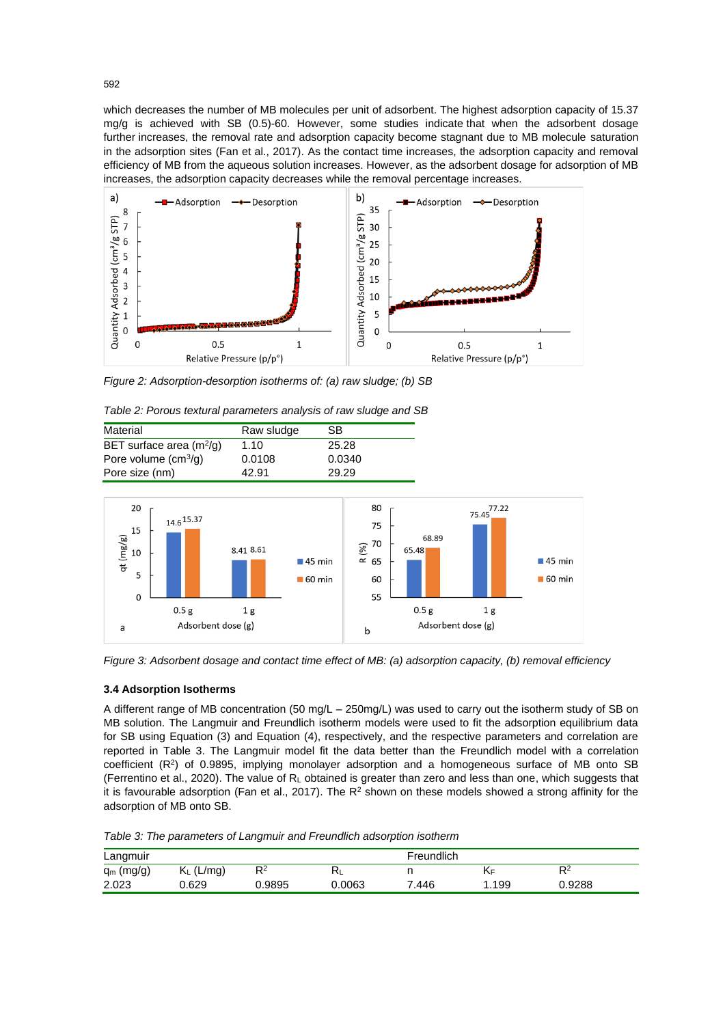which decreases the number of MB molecules per unit of adsorbent. The highest adsorption capacity of 15.37 mg/g is achieved with SB (0.5)-60. However, some studies indicate that when the adsorbent dosage further increases, the removal rate and adsorption capacity become stagnant due to MB molecule saturation in the adsorption sites (Fan et al., 2017). As the contact time increases, the adsorption capacity and removal efficiency of MB from the aqueous solution increases. However, as the adsorbent dosage for adsorption of MB increases, the adsorption capacity decreases while the removal percentage increases.



*Figure 2: Adsorption-desorption isotherms of: (a) raw sludge; (b) SB*

| Table 2: Porous textural parameters analysis of raw sludge and SB |  |  |
|-------------------------------------------------------------------|--|--|

| Material                   | Raw sludge | SB     |
|----------------------------|------------|--------|
| BET surface area $(m^2/g)$ | 1.10       | 25.28  |
| Pore volume $(cm3/g)$      | 0.0108     | 0.0340 |
| Pore size (nm)             | 42.91      | 29.29  |



<span id="page-3-0"></span>*Figure 3: Adsorbent dosage and contact time effect of MB: (a) adsorption capacity, (b) removal efficiency* 

## **3.4 Adsorption Isotherms**

A different range of MB concentration (50 mg/L – 250mg/L) was used to carry out the isotherm study of SB on MB solution. The Langmuir and Freundlich isotherm models were used to fit the adsorption equilibrium data for SB using Equation [\(3\)](#page-2-1) and Equation [\(4\),](#page-2-2) respectively, and the respective parameters and correlation are reported in [Table 3.](#page-3-1) The Langmuir model fit the data better than the Freundlich model with a correlation coefficient  $(R^2)$  of 0.9895, implying monolayer adsorption and a homogeneous surface of MB onto SB (Ferrentino et al., 2020). The value of R<sup>L</sup> obtained is greater than zero and less than one, which suggests that it is favourable adsorption (Fan et al., 2017). The  $R^2$  shown on these models showed a strong affinity for the adsorption of MB onto SB.

<span id="page-3-1"></span>*Table 3: The parameters of Langmuir and Freundlich adsorption isotherm*

| Langmuir     |              |        | Freundlich |       |       |        |
|--------------|--------------|--------|------------|-------|-------|--------|
| $q_m$ (mg/g) | $K_L$ (L/mg) | R2     | $R_L$      |       | *\F   | $R^2$  |
| 2.023        | 0.629        | 0.9895 | 0.0063     | 7.446 | 1.199 | 0.9288 |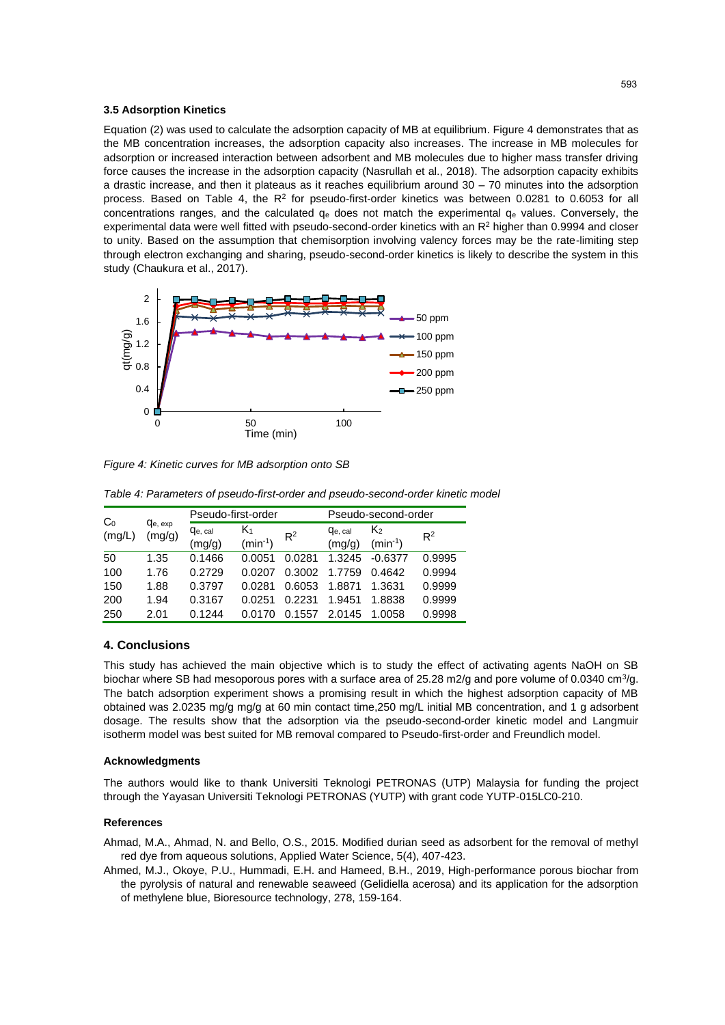#### **3.5 Adsorption Kinetics**

Equation [\(2\)](#page-1-1) was used to calculate the adsorption capacity of MB at equilibrium. [Figure 4](#page-4-0) demonstrates that as the MB concentration increases, the adsorption capacity also increases. The increase in MB molecules for adsorption or increased interaction between adsorbent and MB molecules due to higher mass transfer driving force causes the increase in the adsorption capacity (Nasrullah et al., 2018). The adsorption capacity exhibits a drastic increase, and then it plateaus as it reaches equilibrium around 30 – 70 minutes into the adsorption process. Based on [Table 4,](#page-4-1) the  $R^2$  for pseudo-first-order kinetics was between 0.0281 to 0.6053 for all concentrations ranges, and the calculated  $q_e$  does not match the experimental  $q_e$  values. Conversely, the experimental data were well fitted with pseudo-second-order kinetics with an  $R<sup>2</sup>$  higher than 0.9994 and closer to unity. Based on the assumption that chemisorption involving valency forces may be the rate-limiting step through electron exchanging and sharing, pseudo-second-order kinetics is likely to describe the system in this study (Chaukura et al., 2017).



<span id="page-4-0"></span>*Figure 4: Kinetic curves for MB adsorption onto SB*

<span id="page-4-1"></span>

| Table 4: Parameters of pseudo-first-order and pseudo-second-order kinetic model |  |  |
|---------------------------------------------------------------------------------|--|--|
|                                                                                 |  |  |

| C <sub>0</sub><br>(mg/L) |                           | Pseudo-first-order |                    |            | Pseudo-second-order |                   |        |
|--------------------------|---------------------------|--------------------|--------------------|------------|---------------------|-------------------|--------|
|                          | <b>Q</b> e, exp<br>(mg/g) | Qe, cal<br>(mg/g)  | K1<br>$(min^{-1})$ | $R^2$      | Qe, cal<br>(mg/g)   | K<br>$(min^{-1})$ | $R^2$  |
| 50                       | 1.35                      | 0.1466             | 0.0051             | 0.0281     | 1.3245              | $-0.6377$         | 0.9995 |
| 100                      | 1.76                      | 0.2729             | 0.0207             | 0.3002     | 1.7759              | 0.4642            | 0.9994 |
| 150                      | 1.88                      | 0.3797             | 0.0281             | 0.6053     | 1.8871              | 1.3631            | 0.9999 |
| 200                      | 1.94                      | 0.3167             | በ በ251             | 0.2231     | 1.9451              | 1.8838            | 0.9999 |
| 250                      | 2.01                      | 0.1244             |                    | .1557<br>0 | 2.0145              | 1.0058            | 0.9998 |

# **4. Conclusions**

This study has achieved the main objective which is to study the effect of activating agents NaOH on SB biochar where SB had mesoporous pores with a surface area of 25.28 m2/g and pore volume of 0.0340 cm<sup>3</sup>/g. The batch adsorption experiment shows a promising result in which the highest adsorption capacity of MB obtained was 2.0235 mg/g mg/g at 60 min contact time,250 mg/L initial MB concentration, and 1 g adsorbent dosage. The results show that the adsorption via the pseudo-second-order kinetic model and Langmuir isotherm model was best suited for MB removal compared to Pseudo-first-order and Freundlich model.

#### **Acknowledgments**

The authors would like to thank Universiti Teknologi PETRONAS (UTP) Malaysia for funding the project through the Yayasan Universiti Teknologi PETRONAS (YUTP) with grant code YUTP-015LC0-210.

## **References**

Ahmad, M.A., Ahmad, N. and Bello, O.S., 2015. Modified durian seed as adsorbent for the removal of methyl red dye from aqueous solutions, Applied Water Science, 5(4), 407-423.

Ahmed, M.J., Okoye, P.U., Hummadi, E.H. and Hameed, B.H., 2019, High-performance porous biochar from the pyrolysis of natural and renewable seaweed (Gelidiella acerosa) and its application for the adsorption of methylene blue, Bioresource technology, 278, 159-164.